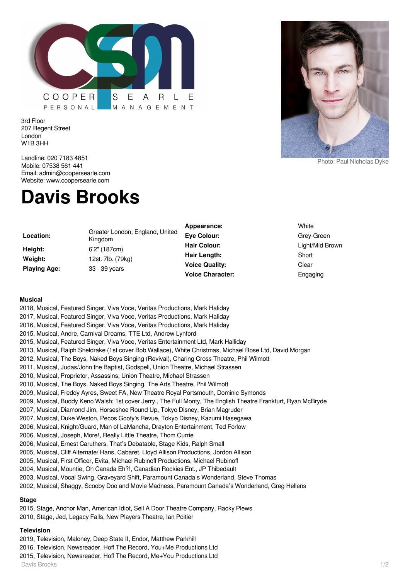

3rd Floor 207 Regent Street London W1B 3HH

Landline: 020 7183 4851 Mobile: 07538 561 441 Email: admin@coopersearle.com Website: www.coopersearle.com

# **Davis Brooks**

| Location:           |  |
|---------------------|--|
| Height:             |  |
| Weight:             |  |
| <b>Plaving Age:</b> |  |

**Location:** Greater London, England, United Kingdom **Height:** 6'2" (187cm) **Weight:** 12st. 7lb. (79kg) **Playing Age:** 33 - 39 years

**Appearance:** White **Eye Colour:** Green-Green-Green-Green-Green-Green-Green-Green-Green-Green-Green-Green-Green-Green-Green-Green-Green-Green-Green-Green-Green-Green-Green-Green-Green-Green-Green-Green-Green-Green-Green-Green-Green-Green-Gree **Hair Colour:** Light Light Mid Brown Light **Hair Length:** S **Voice Quality:** C **Voice Character:** Engine

Photo: Paul Nicholas Dyke

| vnite          |
|----------------|
| Grey-Green     |
| ight/Mid Brown |
| }hort          |
| Clear:         |
| ingaging       |

#### **Musical**

- 2018, Musical, Featured Singer, Viva Voce, Veritas Productions, Mark Haliday
- 2017, Musical, Featured Singer, Viva Voce, Veritas Productions, Mark Haliday
- 2016, Musical, Featured Singer, Viva Voce, Veritas Productions, Mark Haliday
- 2015, Musical, Andre, Carnival Dreams, TTE Ltd, Andrew Lynford
- 2015, Musical, Featured Singer, Viva Voce, Veritas Entertainment Ltd, Mark Halliday
- 2013, Musical, Ralph Sheldrake (1st cover Bob Wallace), White Christmas, Michael Rose Ltd, David Morgan
- 2012, Musical, The Boys, Naked Boys Singing (Revival), Charing Cross Theatre, Phil Wilmott
- 2011, Musical, Judas/John the Baptist, Godspell, Union Theatre, Michael Strassen
- 2010, Musical, Proprietor, Assassins, Union Theatre, Michael Strassen
- 2010, Musical, The Boys, Naked Boys Singing, The Arts Theatre, Phil Wilmott
- 2009, Musical, Freddy Ayres, Sweet FA, New Theatre Royal Portsmouth, Dominic Symonds
- 2009, Musical, Buddy Keno Walsh; 1st cover Jerry,, The Full Monty, The English Theatre Frankfurt, Ryan McBryde
- 2007, Musical, Diamond Jim, Horseshoe Round Up, Tokyo Disney, Brian Magruder
- 2007, Musical, Duke Weston, Pecos Goofy's Revue, Tokyo Disney, Kazumi Hasegawa
- 2006, Musical, Knight/Guard, Man of LaMancha, Drayton Entertainment, Ted Forlow
- 2006, Musical, Joseph, More!, Really Little Theatre, Thom Currie
- 2006, Musical, Ernest Caruthers, That's Debatable, Stage Kids, Ralph Small
- 2005, Musical, Cliff Alternate/ Hans, Cabaret, Lloyd Allison Productions, Jordon Allison
- 2005, Musical, First Officer, Evita, Michael Rubinoff Productions, Michael Rubinoff
- 2004, Musical, Mountie, Oh Canada Eh?!, Canadian Rockies Ent., JP Thibedault
- 2003, Musical, Vocal Swing, Graveyard Shift, Paramount Canada's Wonderland, Steve Thomas
- 2002, Musical, Shaggy, Scooby Doo and Movie Madness, Paramount Canada's Wonderland, Greg Hellens

## **Stage**

- 2015, Stage, Anchor Man, American Idiot, Sell A Door Theatre Company, Racky Plews
- 2010, Stage, Jed, Legacy Falls, New Players Theatre, Ian Poitier

## **Television**

- 2019, Television, Maloney, Deep State II, Endor, Matthew Parkhill
- 2016, Television, Newsreader, Hoff The Record, You+Me Productions Ltd
- 2015, Television, Newsreader, Hoff The Record, Me+You Productions Ltd